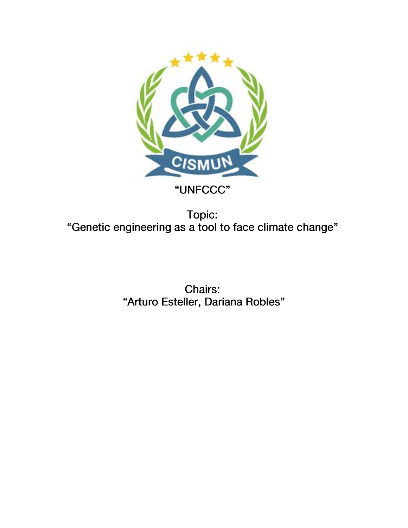

# "UNFCCC"

Topic: "Genetic engineering as a tool to face climate change"

> Chairs: "Arturo Esteller, Dariana Robles"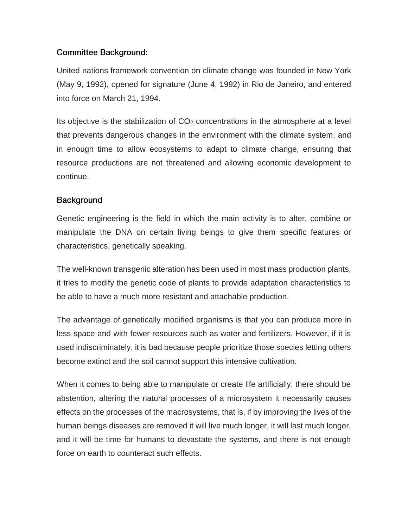## **Committee Background:**

United nations framework convention on climate change was founded in New York (May 9, 1992), opened for signature (June 4, 1992) in Rio de Janeiro, and entered into force on March 21, 1994.

Its objective is the stabilization of  $CO<sub>2</sub>$  concentrations in the atmosphere at a level that prevents dangerous changes in the environment with the climate system, and in enough time to allow ecosystems to adapt to climate change, ensuring that resource productions are not threatened and allowing economic development to continue.

### **Background**

Genetic engineering is the field in which the main activity is to alter, combine or manipulate the DNA on certain living beings to give them specific features or characteristics, genetically speaking.

The well-known transgenic alteration has been used in most mass production plants, it tries to modify the genetic code of plants to provide adaptation characteristics to be able to have a much more resistant and attachable production.

The advantage of genetically modified organisms is that you can produce more in less space and with fewer resources such as water and fertilizers. However, if it is used indiscriminately, it is bad because people prioritize those species letting others become extinct and the soil cannot support this intensive cultivation.

When it comes to being able to manipulate or create life artificially, there should be abstention, altering the natural processes of a microsystem it necessarily causes effects on the processes of the macrosystems, that is, if by improving the lives of the human beings diseases are removed it will live much longer, it will last much longer, and it will be time for humans to devastate the systems, and there is not enough force on earth to counteract such effects.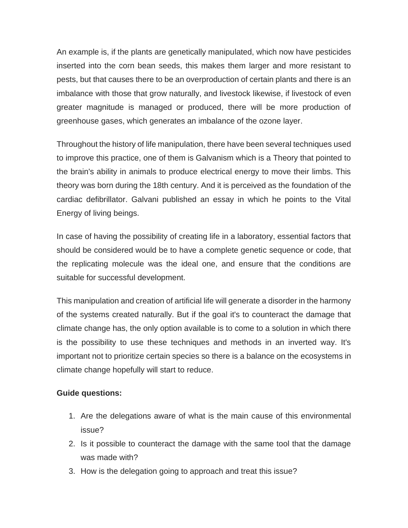An example is, if the plants are genetically manipulated, which now have pesticides inserted into the corn bean seeds, this makes them larger and more resistant to pests, but that causes there to be an overproduction of certain plants and there is an imbalance with those that grow naturally, and livestock likewise, if livestock of even greater magnitude is managed or produced, there will be more production of greenhouse gases, which generates an imbalance of the ozone layer.

Throughout the history of life manipulation, there have been several techniques used to improve this practice, one of them is Galvanism which is a Theory that pointed to the brain's ability in animals to produce electrical energy to move their limbs. This theory was born during the 18th century. And it is perceived as the foundation of the cardiac defibrillator. Galvani published an essay in which he points to the Vital Energy of living beings.

In case of having the possibility of creating life in a laboratory, essential factors that should be considered would be to have a complete genetic sequence or code, that the replicating molecule was the ideal one, and ensure that the conditions are suitable for successful development.

This manipulation and creation of artificial life will generate a disorder in the harmony of the systems created naturally. But if the goal it's to counteract the damage that climate change has, the only option available is to come to a solution in which there is the possibility to use these techniques and methods in an inverted way. It's important not to prioritize certain species so there is a balance on the ecosystems in climate change hopefully will start to reduce.

### **Guide questions:**

- 1. Are the delegations aware of what is the main cause of this environmental issue?
- 2. Is it possible to counteract the damage with the same tool that the damage was made with?
- 3. How is the delegation going to approach and treat this issue?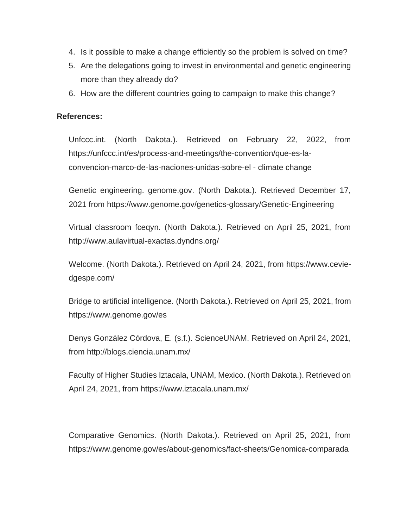- 4. Is it possible to make a change efficiently so the problem is solved on time?
- 5. Are the delegations going to invest in environmental and genetic engineering more than they already do?
- 6. How are the different countries going to campaign to make this change?

#### **References:**

Unfccc.int. (North Dakota.). Retrieved on February 22, 2022, from https://unfccc.int/es/process-and-meetings/the-convention/que-es-laconvencion-marco-de-las-naciones-unidas-sobre-el - climate change

Genetic engineering. genome.gov. (North Dakota.). Retrieved December 17, 2021 from<https://www.genome.gov/genetics-glossary/Genetic-Engineering>

Virtual classroom fceqyn. (North Dakota.). Retrieved on April 25, 2021, from <http://www.aulavirtual-exactas.dyndns.org/>

Welcome. (North Dakota.). Retrieved on April 24, 2021, from [https://www.cevie](https://www.cevie-dgespe.com/)[dgespe.com/](https://www.cevie-dgespe.com/)

Bridge to artificial intelligence. (North Dakota.). Retrieved on April 25, 2021, from <https://www.genome.gov/es>

Denys González Córdova, E. (s.f.). ScienceUNAM. Retrieved on April 24, 2021, from<http://blogs.ciencia.unam.mx/>

Faculty of Higher Studies Iztacala, UNAM, Mexico. (North Dakota.). Retrieved on April 24, 2021, from<https://www.iztacala.unam.mx/>

Comparative Genomics. (North Dakota.). Retrieved on April 25, 2021, from <https://www.genome.gov/es/about-genomics/fact-sheets/Genomica-comparada>